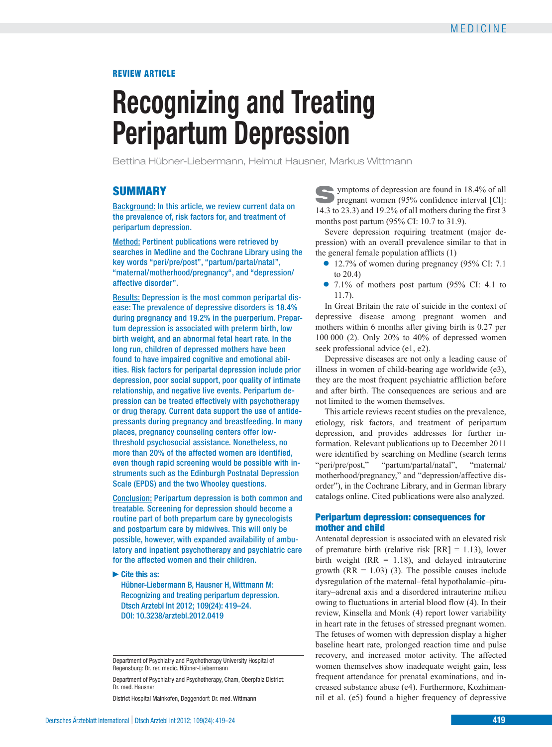## REVIEW ARTICLE

# **Recognizing and Treating Peripartum Depression**

Bettina Hübner-Liebermann, Helmut Hausner, Markus Wittmann

# **SUMMARY**

Background: In this article, we review current data on the prevalence of, risk factors for, and treatment of peripartum depression.

Method: Pertinent publications were retrieved by searches in Medline and the Cochrane Library using the key words "peri/pre/post", "partum/partal/natal", "maternal/motherhood/pregnancy", and "depression/ affective disorder".

Results: Depression is the most common peripartal disease: The prevalence of depressive disorders is 18.4% during pregnancy and 19.2% in the puerperium. Prepartum depression is associated with preterm birth, low birth weight, and an abnormal fetal heart rate. In the long run, children of depressed mothers have been found to have impaired cognitive and emotional abilities. Risk factors for peripartal depression include prior depression, poor social support, poor quality of intimate relationship, and negative live events. Peripartum depression can be treated effectively with psychotherapy or drug therapy. Current data support the use of antidepressants during pregnancy and breastfeeding. In many places, pregnancy counseling centers offer low threshold psychosocial assistance. Nonetheless, no more than 20% of the affected women are identified, even though rapid screening would be possible with instruments such as the Edinburgh Postnatal Depression Scale (EPDS) and the two Whooley questions.

Conclusion: Peripartum depression is both common and treatable. Screening for depression should become a routine part of both prepartum care by gynecologists and postpartum care by midwives. This will only be possible, however, with expanded availability of ambulatory and inpatient psychotherapy and psychiatric care for the affected women and their children.

**►Cite this as:**

Hübner-Liebermann B, Hausner H, Wittmann M: Recognizing and treating peripartum depression. Dtsch Arztebl Int 2012; 109(24): 419–24. DOI: 10.3238/arztebl.2012.0419

Department of Psychiatry and Psychotherapy University Hospital of Regensburg: Dr. rer. medic. Hübner-Liebermann

Department of Psychiatry and Psychotherapy, Cham, Oberpfalz District: Dr. med. Hausner

District Hospital Mainkofen, Deggendorf: Dr. med. Wittmann

Symptoms of depression are found in 18.4% of all pregnant women (95% confidence interval [CI]: 14.3 to 23.3) and 19.2% of all mothers during the first 3 months post partum (95% CI: 10.7 to 31.9).

Severe depression requiring treatment (major depression) with an overall prevalence similar to that in the general female population afflicts (1)

- **●** 12.7% of women during pregnancy (95% CI: 7.1 to 20.4)
- **●** 7.1% of mothers post partum (95% CI: 4.1 to 11.7).

In Great Britain the rate of suicide in the context of depressive disease among pregnant women and mothers within 6 months after giving birth is 0.27 per 100 000 (2). Only 20% to 40% of depressed women seek professional advice (e1, e2).

Depressive diseases are not only a leading cause of illness in women of child-bearing age worldwide (e3), they are the most frequent psychiatric affliction before and after birth. The consequences are serious and are not limited to the women themselves.

This article reviews recent studies on the prevalence, etiology, risk factors, and treatment of peripartum depression, and provides addresses for further information. Relevant publications up to December 2011 were identified by searching on Medline (search terms "peri/pre/post," "partum/partal/natal", "maternal/ motherhood/pregnancy," and "depression/affective disorder"), in the Cochrane Library, and in German library catalogs online. Cited publications were also analyzed.

## Peripartum depression: consequences for mother and child

Antenatal depression is associated with an elevated risk of premature birth (relative risk  $[RR] = 1.13$ ), lower birth weight  $(RR = 1.18)$ , and delayed intrauterine growth  $(RR = 1.03)$  (3). The possible causes include dysregulation of the maternal–fetal hypothalamic–pituitary–adrenal axis and a disordered intrauterine milieu owing to fluctuations in arterial blood flow (4). In their review, Kinsella and Monk (4) report lower variability in heart rate in the fetuses of stressed pregnant women. The fetuses of women with depression display a higher baseline heart rate, prolonged reaction time and pulse recovery, and increased motor activity. The affected women themselves show inadequate weight gain, less frequent attendance for prenatal examinations, and increased substance abuse (e4). Furthermore, Kozhimannil et al. (e5) found a higher frequency of depressive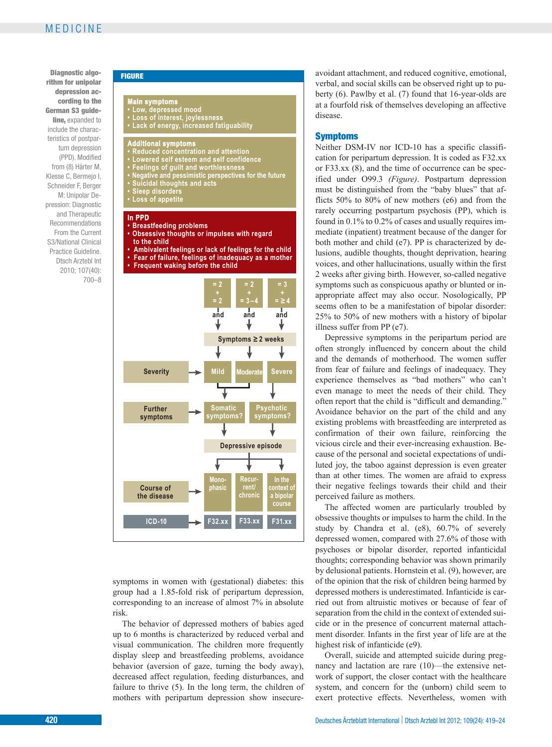Diagnostic algo-<br>
FIGURE rithm for unipolar depression according to the German S3 guideline, expanded to include the characteristics of postpartum depression (PPD). Modified from (8) Härter M, Klesse C, Bermejo I, Schneider F, Berger M: Unipolar Depression: Diagnostic and Therapeutic Recommendations From the Current S3/National Clinical Practice Guideline. Dtsch Arztebl Int 2010; 107(40): 700–8



symptoms in women with (gestational) diabetes: this group had a 1.85-fold risk of peripartum depression, corresponding to an increase of almost 7% in absolute risk.

The behavior of depressed mothers of babies aged up to 6 months is characterized by reduced verbal and visual communication. The children more frequently display sleep and breastfeeding problems, avoidance behavior (aversion of gaze, turning the body away), decreased affect regulation, feeding disturbances, and failure to thrive (5). In the long term, the children of mothers with peripartum depression show insecureavoidant attachment, and reduced cognitive, emotional, verbal, and social skills can be observed right up to puberty (6). Pawlby et al. (7) found that 16-year-olds are at a fourfold risk of themselves developing an affective disease.

#### Symptoms

Neither DSM-IV nor ICD-10 has a specific classification for peripartum depression. It is coded as F32.xx or F33.xx (8), and the time of occurrence can be specified under O99.3 *(Figure)*. Postpartum depression must be distinguished from the "baby blues" that afflicts 50% to 80% of new mothers (e6) and from the rarely occurring postpartum psychosis (PP), which is found in 0.1% to 0.2% of cases and usually requires immediate (inpatient) treatment because of the danger for both mother and child (e7). PP is characterized by delusions, audible thoughts, thought deprivation, hearing voices, and other hallucinations, usually within the first 2 weeks after giving birth. However, so-called negative symptoms such as conspicuous apathy or blunted or inappropriate affect may also occur. Nosologically, PP seems often to be a manifestation of bipolar disorder: 25% to 50% of new mothers with a history of bipolar illness suffer from PP (e7).

Depressive symptoms in the peripartum period are often strongly influenced by concern about the child and the demands of motherhood. The women suffer from fear of failure and feelings of inadequacy. They experience themselves as "bad mothers" who can't even manage to meet the needs of their child. They often report that the child is "difficult and demanding." Avoidance behavior on the part of the child and any existing problems with breastfeeding are interpreted as confirmation of their own failure, reinforcing the vicious circle and their ever-increasing exhaustion. Because of the personal and societal expectations of undiluted joy, the taboo against depression is even greater than at other times. The women are afraid to express their negative feelings towards their child and their perceived failure as mothers.

The affected women are particularly troubled by obsessive thoughts or impulses to harm the child. In the study by Chandra et al. (e8), 60.7% of severely depressed women, compared with 27.6% of those with psychoses or bipolar disorder, reported infanticidal thoughts; corresponding behavior was shown primarily by delusional patients. Hornstein et al. (9), however, are of the opinion that the risk of children being harmed by depressed mothers is underestimated. Infanticide is carried out from altruistic motives or because of fear of separation from the child in the context of extended suicide or in the presence of concurrent maternal attachment disorder. Infants in the first year of life are at the highest risk of infanticide (e9).

Overall, suicide and attempted suicide during pregnancy and lactation are rare (10)—the extensive network of support, the closer contact with the healthcare system, and concern for the (unborn) child seem to exert protective effects. Nevertheless, women with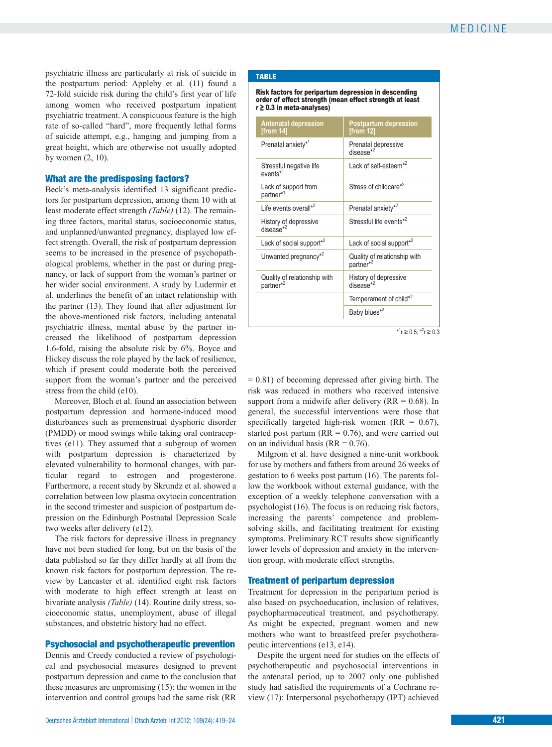psychiatric illness are particularly at risk of suicide in the postpartum period: Appleby et al. (11) found a 72-fold suicide risk during the child's first year of life among women who received postpartum inpatient psychiatric treatment. A conspicuous feature is the high rate of so-called "hard", more frequently lethal forms of suicide attempt, e.g., hanging and jumping from a great height, which are otherwise not usually adopted by women (2, 10).

### What are the predisposing factors?

Beck's meta-analysis identified 13 significant predictors for postpartum depression, among them 10 with at least moderate effect strength *(Table)* (12). The remaining three factors, marital status, socioeconomic status, and unplanned/unwanted pregnancy, displayed low effect strength. Overall, the risk of postpartum depression seems to be increased in the presence of psychopathological problems, whether in the past or during pregnancy, or lack of support from the woman's partner or her wider social environment. A study by Ludermir et al. underlines the benefit of an intact relationship with the partner (13). They found that after adjustment for the above-mentioned risk factors, including antenatal psychiatric illness, mental abuse by the partner increased the likelihood of postpartum depression 1.6-fold, raising the absolute risk by 6%. Boyce and Hickey discuss the role played by the lack of resilience, which if present could moderate both the perceived support from the woman's partner and the perceived stress from the child (e10).

Moreover, Bloch et al. found an association between postpartum depression and hormone-induced mood disturbances such as premenstrual dysphoric disorder (PMDD) or mood swings while taking oral contraceptives (e11). They assumed that a subgroup of women with postpartum depression is characterized by elevated vulnerability to hormonal changes, with particular regard to estrogen and progesterone. Furthermore, a recent study by Skrundz et al. showed a correlation between low plasma oxytocin concentration in the second trimester and suspicion of postpartum depression on the Edinburgh Postnatal Depression Scale two weeks after delivery (e12).

The risk factors for depressive illness in pregnancy have not been studied for long, but on the basis of the data published so far they differ hardly at all from the known risk factors for postpartum depression. The review by Lancaster et al. identified eight risk factors with moderate to high effect strength at least on bivariate analysis *(Table)* (14). Routine daily stress, socioeconomic status, unemployment, abuse of illegal substances, and obstetric history had no effect.

#### Psychosocial and psychotherapeutic prevention

Dennis and Creedy conducted a review of psychological and psychosocial measures designed to prevent postpartum depression and came to the conclusion that these measures are unpromising (15): the women in the intervention and control groups had the same risk (RR

#### TABLE

Risk factors for peripartum depression in descending order of effect strength (mean effect strength at least r ≥ 0.3 in meta-analyses)

| <b>Antenatal depression</b><br>[from 14]              | <b>Postpartum depression</b><br>[from 12]             |
|-------------------------------------------------------|-------------------------------------------------------|
| Prenatal anxiety* <sup>1</sup>                        | Prenatal depressive<br>disease*2                      |
| Stressful negative life<br>events* <sup>1</sup>       | Lack of self-esteem <sup>*2</sup>                     |
| Lack of support from<br>partner* <sup>1</sup>         | Stress of childcare*2                                 |
| Life events overall* <sup>2</sup>                     | Prenatal anxiety* <sup>2</sup>                        |
| History of depressive<br>disease $*^2$                | Stressful life events*2                               |
| Lack of social support* <sup>2</sup>                  | Lack of social support <sup>*2</sup>                  |
| Unwanted pregnancy <sup>*2</sup>                      | Quality of relationship with<br>partner <sup>*2</sup> |
| Quality of relationship with<br>partner* <sup>2</sup> | History of depressive<br>$disease*2$                  |
|                                                       | Temperament of child* <sup>2</sup>                    |
|                                                       | Baby blues <sup>*2</sup>                              |

\*<sup>1</sup>r ≥ 0.5; \*<sup>2</sup>r ≥ 0.3

 $= 0.81$ ) of becoming depressed after giving birth. The risk was reduced in mothers who received intensive support from a midwife after delivery ( $RR = 0.68$ ). In general, the successful interventions were those that specifically targeted high-risk women (RR =  $0.67$ ), started post partum ( $RR = 0.76$ ), and were carried out on an individual basis ( $RR = 0.76$ ).

Milgrom et al. have designed a nine-unit workbook for use by mothers and fathers from around 26 weeks of gestation to 6 weeks post partum (16). The parents follow the workbook without external guidance, with the exception of a weekly telephone conversation with a psychologist (16). The focus is on reducing risk factors, increasing the parents' competence and problem solving skills, and facilitating treatment for existing symptoms. Preliminary RCT results show significantly lower levels of depression and anxiety in the intervention group, with moderate effect strengths.

#### Treatment of peripartum depression

Treatment for depression in the peripartum period is also based on psychoeducation, inclusion of relatives, psychopharmaceutical treatment, and psychotherapy. As might be expected, pregnant women and new mothers who want to breastfeed prefer psychotherapeutic interventions (e13, e14).

Despite the urgent need for studies on the effects of psychotherapeutic and psychosocial interventions in the antenatal period, up to 2007 only one published study had satisfied the requirements of a Cochrane review (17): Interpersonal psychotherapy (IPT) achieved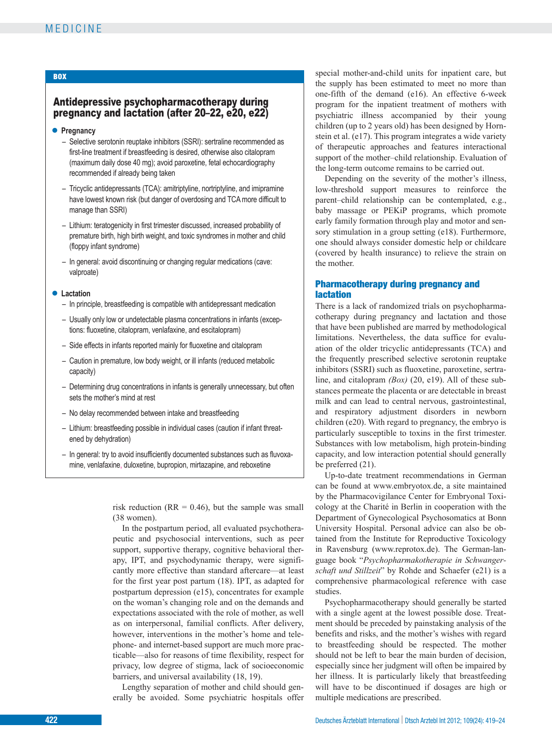## **BOX**

## Antidepressive psychopharmacotherapy during pregnancy and lactation (after 20–22, e20, e22)

## **● Pregnancy**

- Selective serotonin reuptake inhibitors (SSRI): sertraline recommended as first-line treatment if breastfeeding is desired, otherwise also citalopram (maximum daily dose 40 mg); avoid paroxetine, fetal echocardiography recommended if already being taken
- Tricyclic antidepressants (TCA): amitriptyline, nortriptyline, and imipramine have lowest known risk (but danger of overdosing and TCA more difficult to manage than SSRI)
- Lithium: teratogenicity in first trimester discussed, increased probability of premature birth, high birth weight, and toxic syndromes in mother and child (floppy infant syndrome)
- In general: avoid discontinuing or changing regular medications (cave: valproate)

#### **● Lactation**

- In principle, breastfeeding is compatible with antidepressant medication
- Usually only low or undetectable plasma concentrations in infants (exceptions: fluoxetine, citalopram, venlafaxine, and escitalopram)
- Side effects in infants reported mainly for fluoxetine and citalopram
- Caution in premature, low body weight, or ill infants (reduced metabolic capacity)
- Determining drug concentrations in infants is generally unnecessary, but often sets the mother's mind at rest
- No delay recommended between intake and breastfeeding
- Lithium: breastfeeding possible in individual cases (caution if infant threat ened by dehydration)
- In general: try to avoid insufficiently documented substances such as fluvoxamine, venlafaxine, duloxetine, bupropion, mirtazapine, and reboxetine

risk reduction ( $RR = 0.46$ ), but the sample was small (38 women).

In the postpartum period, all evaluated psychotherapeutic and psychosocial interventions, such as peer support, supportive therapy, cognitive behavioral therapy, IPT, and psychodynamic therapy, were significantly more effective than standard aftercare—at least for the first year post partum (18). IPT, as adapted for postpartum depression (e15), concentrates for example on the woman's changing role and on the demands and expectations associated with the role of mother, as well as on interpersonal, familial conflicts. After delivery, however, interventions in the mother's home and telephone- and internet-based support are much more practicable—also for reasons of time flexibility, respect for privacy, low degree of stigma, lack of socioeconomic barriers, and universal availability (18, 19).

Lengthy separation of mother and child should generally be avoided. Some psychiatric hospitals offer special mother-and-child units for inpatient care, but the supply has been estimated to meet no more than one-fifth of the demand (e16). An effective 6-week program for the inpatient treatment of mothers with psychiatric illness accompanied by their young children (up to 2 years old) has been designed by Hornstein et al. (e17). This program integrates a wide variety of therapeutic approaches and features interactional support of the mother–child relationship. Evaluation of the long-term outcome remains to be carried out.

Depending on the severity of the mother's illness, low-threshold support measures to reinforce the parent–child relationship can be contemplated, e.g., baby massage or PEKiP programs, which promote early family formation through play and motor and sensory stimulation in a group setting (e18). Furthermore, one should always consider domestic help or childcare (covered by health insurance) to relieve the strain on the mother.

## Pharmacotherapy during pregnancy and lactation

There is a lack of randomized trials on psychopharmacotherapy during pregnancy and lactation and those that have been published are marred by methodological limitations. Nevertheless, the data suffice for evaluation of the older tricyclic antidepressants (TCA) and the frequently prescribed selective serotonin reuptake inhibitors (SSRI) such as fluoxetine, paroxetine, sertraline, and citalopram *(Box)* (20, e19). All of these substances permeate the placenta or are detectable in breast milk and can lead to central nervous, gastrointestinal, and respiratory adjustment disorders in newborn children (e20). With regard to pregnancy, the embryo is particularly susceptible to toxins in the first trimester. Substances with low metabolism, high protein-binding capacity, and low interaction potential should generally be preferred (21).

Up-to-date treatment recommendations in German can be found at www.embryotox.de, a site maintained by the Pharmacovigilance Center for Embryonal Toxicology at the Charité in Berlin in cooperation with the Department of Gynecological Psychosomatics at Bonn University Hospital. Personal advice can also be obtained from the Institute for Reproductive Toxicology in Ravensburg (www.reprotox.de). The German-language book "*Psychopharmakotherapie in Schwanger schaft und Stillzeit*" by Rohde and Schaefer (e21) is a comprehensive pharmacological reference with case studies.

Psychopharmacotherapy should generally be started with a single agent at the lowest possible dose. Treatment should be preceded by painstaking analysis of the benefits and risks, and the mother's wishes with regard to breastfeeding should be respected. The mother should not be left to bear the main burden of decision, especially since her judgment will often be impaired by her illness. It is particularly likely that breastfeeding will have to be discontinued if dosages are high or multiple medications are prescribed.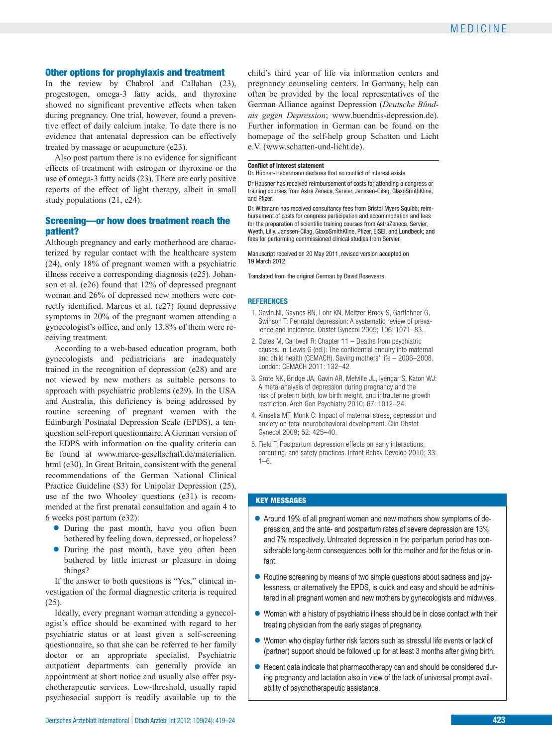## Other options for prophylaxis and treatment

In the review by Chabrol and Callahan (23), progestogen, omega-3 fatty acids, and thyroxine showed no significant preventive effects when taken during pregnancy. One trial, however, found a preventive effect of daily calcium intake. To date there is no evidence that antenatal depression can be effectively treated by massage or acupuncture (e23).

Also post partum there is no evidence for significant effects of treatment with estrogen or thyroxine or the use of omega-3 fatty acids (23). There are early positive reports of the effect of light therapy, albeit in small study populations (21, e24).

### Screening—or how does treatment reach the patient?

Although pregnancy and early motherhood are characterized by regular contact with the healthcare system (24), only 18% of pregnant women with a psychiatric illness receive a corresponding diagnosis (e25). Johanson et al. (e26) found that 12% of depressed pregnant woman and 26% of depressed new mothers were correctly identified. Marcus et al. (e27) found depressive symptoms in 20% of the pregnant women attending a gynecologist's office, and only 13.8% of them were receiving treatment.

According to a web-based education program, both gynecologists and pediatricians are inadequately trained in the recognition of depression (e28) and are not viewed by new mothers as suitable persons to approach with psychiatric problems (e29). In the USA and Australia, this deficiency is being addressed by routine screening of pregnant women with the Edinburgh Postnatal Depression Scale (EPDS), a tenquestion self-report questionnaire. A German version of the EDPS with information on the quality criteria can be found at www.marce-gesellschaft.de/materialien. html (e30). In Great Britain, consistent with the general recommendations of the German National Clinical Practice Guideline (S3) for Unipolar Depression (25), use of the two Whooley questions (e31) is recommended at the first prenatal consultation and again 4 to 6 weeks post partum (e32):

- **●** During the past month, have you often been bothered by feeling down, depressed, or hopeless?
- **●** During the past month, have you often been bothered by little interest or pleasure in doing things?

If the answer to both questions is "Yes," clinical investigation of the formal diagnostic criteria is required (25).

Ideally, every pregnant woman attending a gynecologist's office should be examined with regard to her psychiatric status or at least given a self-screening questionnaire, so that she can be referred to her family doctor or an appropriate specialist. Psychiatric outpatient departments can generally provide an appointment at short notice and usually also offer psychotherapeutic services. Low-threshold, usually rapid psychosocial support is readily available up to the

child's third year of life via information centers and pregnancy counseling centers. In Germany, help can often be provided by the local representatives of the German Alliance against Depression (*Deutsche Bündnis gegen Depression*; www.buendnis-depression.de). Further information in German can be found on the homepage of the self-help group Schatten und Licht e.V. (www.schatten-und-licht.de).

#### **Conflict of interest statement**

Dr. Hübner-Liebermann declares that no conflict of interest exists.

Dr Hausner has received reimbursement of costs for attending a congress or training courses from Astra Zeneca, Servier, Janssen-Cilag, GlaxoSmithKline, and Pfizer.

Dr. Wittmann has received consultancy fees from Bristol Myers Squibb; reimbursement of costs for congress participation and accommodation and fees for the preparation of scientific training courses from AstraZeneca, Servier, Wyeth, Lilly, Janssen-Cilag, GlaxoSmithKline, Pfizer, EISEI, and Lundbeck; and fees for performing commissioned clinical studies from Servier.

Manuscript received on 20 May 2011, revised version accepted on 19 March 2012.

Translated from the original German by David Roseveare.

#### **REFERENCES**

- 1. Gavin NI, Gaynes BN, Lohr KN, Meltzer-Brody S, Gartlehner G, Swinson T: Perinatal depression: A systematic review of prevalence and incidence. Obstet Gynecol 2005; 106: 1071–83.
- 2. Oates M, Cantwell R: Chapter 11 Deaths from psychiatric causes. In: Lewis G (ed.): The confidential enquiry into maternal and child health (CEMACH). Saving mothers' life – 2006–2008. London: CEMACH 2011: 132–42.
- 3. Grote NK, Bridge JA, Gavin AR, Melville JL, Iyengar S, Katon WJ: A meta-analysis of depression during pregnancy and the risk of preterm birth, low birth weight, and intrauterine growth restriction. Arch Gen Psychiatry 2010; 67: 1012–24.
- 4. Kinsella MT, Monk C: Impact of maternal stress, depression und anxiety on fetal neurobehavioral development. Clin Obstet Gynecol 2009; 52: 425–40.
- 5. Field T: Postpartum depression effects on early interactions, parenting, and safety practices. Infant Behav Develop 2010; 33:  $1 - 6$

#### KEY MESSAGES

- **●** Around 19% of all pregnant women and new mothers show symptoms of depression, and the ante- and postpartum rates of severe depression are 13% and 7% respectively. Untreated depression in the peripartum period has considerable long-term consequences both for the mother and for the fetus or infant.
- **●** Routine screening by means of two simple questions about sadness and joylessness, or alternatively the EPDS, is quick and easy and should be administered in all pregnant women and new mothers by gynecologists and midwives.
- **●** Women with a history of psychiatric illness should be in close contact with their treating physician from the early stages of pregnancy.
- Women who display further risk factors such as stressful life events or lack of (partner) support should be followed up for at least 3 months after giving birth.
- **●** Recent data indicate that pharmacotherapy can and should be considered during pregnancy and lactation also in view of the lack of universal prompt availability of psychotherapeutic assistance.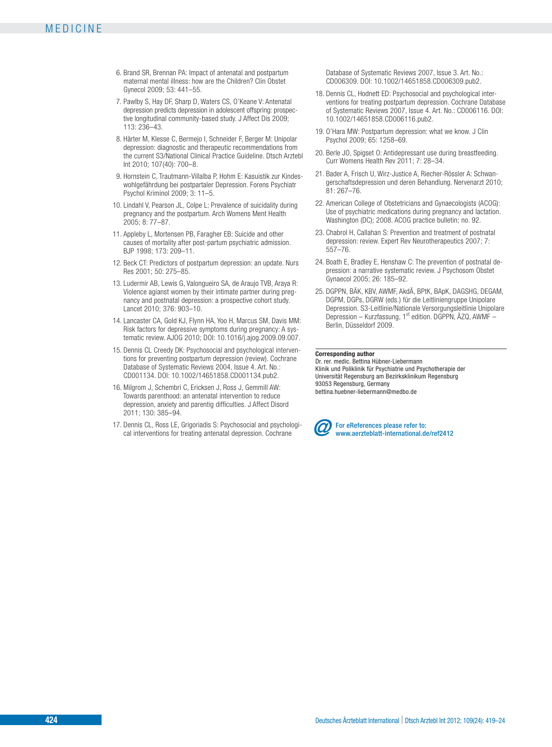- 6. Brand SR, Brennan PA: Impact of antenatal and postpartum maternal mental illness: how are the Children? Clin Obstet Gynecol 2009; 53: 441–55.
- 7. Pawlby S, Hay DF, Sharp D, Waters CS, O'Keane V: Antenatal depression predicts depression in adolescent offspring: prospec tive longitudinal community-based study. J Affect Dis 2009; 113: 236–43.
- 8. Härter M, Klesse C, Bermejo I, Schneider F, Berger M: Unipolar depression: diagnostic and therapeutic recommendations from the current S3/National Clinical Practice Guideline. Dtsch Arztebl Int 2010; 107(40): 700–8.
- 9. Hornstein C, Trautmann-Villalba P, Hohm E: Kasuistik zur Kindeswohlgefährdung bei postpartaler Depression. Forens Psychiatr Psychol Kriminol 2009; 3: 11–5.
- 10. Lindahl V, Pearson JL, Colpe L: Prevalence of suicidality during pregnancy and the postpartum. Arch Womens Ment Health 2005; 8: 77–87.
- 11. Appleby L, Mortensen PB, Faragher EB: Suicide and other causes of mortality after post-partum psychiatric admission. BJP 1998; 173: 209–11.
- 12. Beck CT: Predictors of postpartum depression: an update. Nurs Res 2001; 50: 275–85.
- 13. Ludermir AB, Lewis G, Valongueiro SA, de Araujo TVB, Araya R: Violence agianst women by their intimate partner during pregnancy and postnatal depression: a prospective cohort study. Lancet 2010; 376: 903–10.
- 14. Lancaster CA, Gold KJ, Flynn HA, Yoo H, Marcus SM, Davis MM: Risk factors for depressive symptoms during pregnancy: A systematic review. AJOG 2010; DOI: 10.1016/j.ajog.2009.09.007.
- 15. Dennis CL Creedy DK: Psychosocial and psychological interventions for preventing postpartum depression (review). Cochrane Database of Systematic Reviews 2004, Issue 4. Art. No.: CD001134. DOI: 10.1002/14651858.CD001134.pub2.
- 16. Milgrom J, Schembri C, Ericksen J, Ross J, Gemmill AW: Towards parenthood: an antenatal intervention to reduce depression, anxiety and parentig difficulties. J Affect Disord 2011; 130: 385–94.
- 17. Dennis CL, Ross LE, Grigoriadis S: Psychosocial and psychological interventions for treating antenatal depression. Cochrane

Database of Systematic Reviews 2007, Issue 3. Art. No.: CD006309. DOI: 10.1002/14651858.CD006309.pub2.

- 18. Dennis CL, Hodnett ED: Psychosocial and psychological interventions for treating postpartum depression. Cochrane Database of Systematic Reviews 2007, Issue 4. Art. No.: CD006116. DOI: 10.1002/14651858.CD006116.pub2.
- 19. O'Hara MW: Postpartum depression: what we know. J Clin Psychol 2009; 65: 1258–69.
- 20. Berle JO, Spigset O: Antidepressant use during breastfeeding. Curr Womens Health Rev 2011; 7: 28–34.
- 21. Bader A, Frisch U, Wirz-Justice A, Riecher-Rössler A: Schwangerschaftsdepression und deren Behandlung. Nervenarzt 2010; 81: 267–76.
- 22. American College of Obstetricians and Gynaecologists (ACOG): Use of psychiatric medications during pregnancy and lactation. Washington (DC); 2008. ACOG practice bulletin; no. 92.
- 23. Chabrol H, Callahan S: Prevention and treatment of postnatal depression: review. Expert Rev Neurotherapeutics 2007; 7: 557–76.
- 24. Boath E, Bradley E, Henshaw C: The prevention of postnatal depression: a narrative systematic review. J Psychosom Obstet Gynaecol 2005; 26: 185–92.
- 25. DGPPN, BÄK, KBV, AWMF, AkdÄ, BPtK, BApK, DAGSHG, DEGAM, DGPM, DGPs, DGRW (eds.) für die Leitliniengruppe Unipolare Depression. S3-Leitlinie/Nationale Versorgungsleitlinie Unipolare Depression – Kurzfassung, 1<sup>st</sup> edition. DGPPN, ÄZQ, AWMF – Berlin, Düsseldorf 2009.

#### **Corresponding author**

Dr. rer. medic. Bettina Hübner-Liebermann Klinik und Poliklinik für Psychiatrie und Psychotherapie der Universität Regensburg am Bezirksklinikum Regensburg 93053 Regensburg, Germany bettina.huebner-liebermann@medbo.de